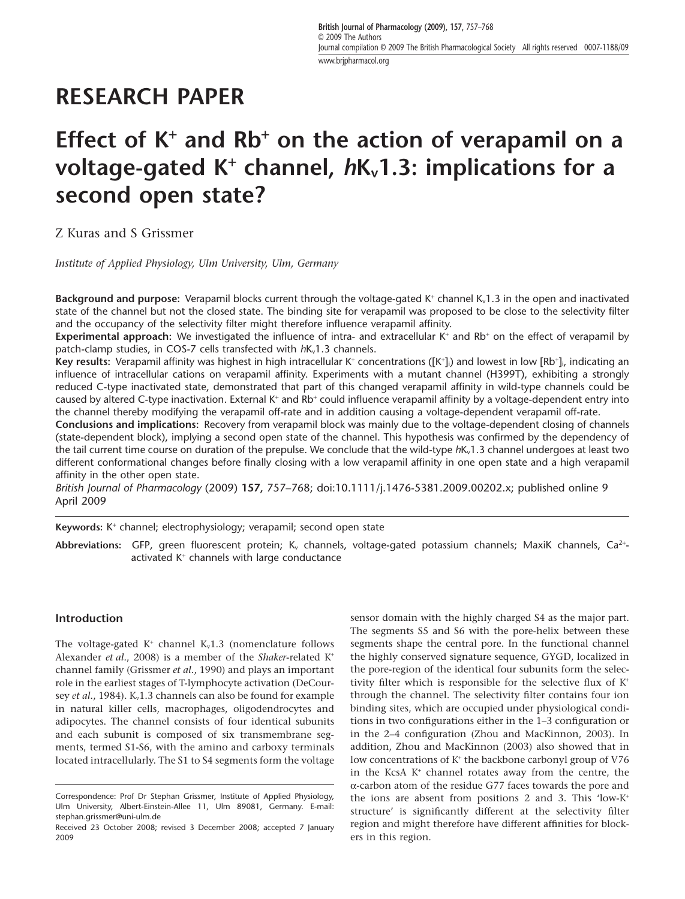# **RESEARCH PAPER**

# **Effect of K**<sup>+</sup> **and Rb**<sup>+</sup> **on the action of verapamil on a** voltage-gated K<sup>+</sup> channel,  $hK_v1.3$ : implications for a **second open state?**

Z Kuras and S Grissmer

*Institute of Applied Physiology, Ulm University, Ulm, Germany*

**Background and purpose:** Verapamil blocks current through the voltage-gated K<sup>+</sup> channel K<sub>v</sub>1.3 in the open and inactivated state of the channel but not the closed state. The binding site for verapamil was proposed to be close to the selectivity filter and the occupancy of the selectivity filter might therefore influence verapamil affinity.

**Experimental approach:** We investigated the influence of intra- and extracellular K<sup>+</sup> and Rb<sup>+</sup> on the effect of verapamil by patch-clamp studies, in COS-7 cells transfected with  $hK_v1.3$  channels.

**Key results:** Verapamil affinity was highest in high intracellular K\* concentrations ([K\*],) and lowest in low [Rb\*]<sub>i</sub>, indicating an influence of intracellular cations on verapamil affinity. Experiments with a mutant channel (H399T), exhibiting a strongly reduced C-type inactivated state, demonstrated that part of this changed verapamil affinity in wild-type channels could be caused by altered C-type inactivation. External K<sup>+</sup> and Rb<sup>+</sup> could influence verapamil affinity by a voltage-dependent entry into the channel thereby modifying the verapamil off-rate and in addition causing a voltage-dependent verapamil off-rate.

**Conclusions and implications:** Recovery from verapamil block was mainly due to the voltage-dependent closing of channels (state-dependent block), implying a second open state of the channel. This hypothesis was confirmed by the dependency of the tail current time course on duration of the prepulse. We conclude that the wild-type  $hK_v1.3$  channel undergoes at least two different conformational changes before finally closing with a low verapamil affinity in one open state and a high verapamil affinity in the other open state.

*British Journal of Pharmacology* (2009) **157,** 757–768; doi:10.1111/j.1476-5381.2009.00202.x; published online 9 April 2009

**Keywords:** K<sup>+</sup> channel; electrophysiology; verapamil; second open state

<code>Abbreviations: GFP</code>, green fluorescent protein; K<sub>v</sub> channels, voltage-gated potassium channels; MaxiK channels, Ca<sup>2+</sup>activated K<sup>+</sup> channels with large conductance

## **Introduction**

The voltage-gated  $K^+$  channel  $K_v1.3$  (nomenclature follows Alexander *et al.*, 2008) is a member of the *Shaker*-related K<sup>+</sup> channel family (Grissmer *et al.*, 1990) and plays an important role in the earliest stages of T-lymphocyte activation (DeCoursey *et al.*, 1984). K<sub>v</sub>1.3 channels can also be found for example in natural killer cells, macrophages, oligodendrocytes and adipocytes. The channel consists of four identical subunits and each subunit is composed of six transmembrane segments, termed S1-S6, with the amino and carboxy terminals located intracellularly. The S1 to S4 segments form the voltage sensor domain with the highly charged S4 as the major part. The segments S5 and S6 with the pore-helix between these segments shape the central pore. In the functional channel the highly conserved signature sequence, GYGD, localized in the pore-region of the identical four subunits form the selectivity filter which is responsible for the selective flux of  $K^+$ through the channel. The selectivity filter contains four ion binding sites, which are occupied under physiological conditions in two configurations either in the 1–3 configuration or in the 2–4 configuration (Zhou and MacKinnon, 2003). In addition, Zhou and MacKinnon (2003) also showed that in low concentrations of K<sup>+</sup> the backbone carbonyl group of V76 in the KcsA  $K^+$  channel rotates away from the centre, the a-carbon atom of the residue G77 faces towards the pore and the ions are absent from positions 2 and 3. This 'low-K<sup>+</sup> structure' is significantly different at the selectivity filter region and might therefore have different affinities for blockers in this region.

Correspondence: Prof Dr Stephan Grissmer, Institute of Applied Physiology, Ulm University, Albert-Einstein-Allee 11, Ulm 89081, Germany. E-mail: stephan.[grissmer@uni-ulm.de](mailto:grissmer@uni-ulm.de)

Received 23 October 2008; revised 3 December 2008; accepted 7 January 2009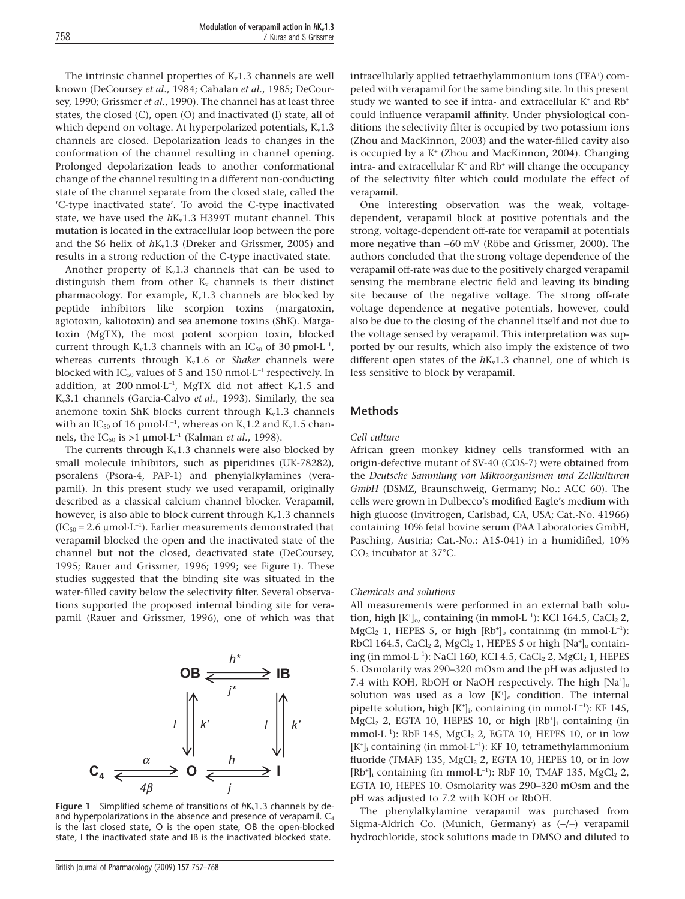The intrinsic channel properties of  $K_v1.3$  channels are well known (DeCoursey *et al.*, 1984; Cahalan *et al.*, 1985; DeCoursey, 1990; Grissmer *et al.*, 1990). The channel has at least three states, the closed (C), open (O) and inactivated (I) state, all of which depend on voltage. At hyperpolarized potentials,  $K_v1.3$ channels are closed. Depolarization leads to changes in the conformation of the channel resulting in channel opening. Prolonged depolarization leads to another conformational change of the channel resulting in a different non-conducting state of the channel separate from the closed state, called the 'C-type inactivated state'. To avoid the C-type inactivated state, we have used the  $hK_v1.3$  H399T mutant channel. This mutation is located in the extracellular loop between the pore and the S6 helix of  $h$ K<sub>v</sub>1.3 (Dreker and Grissmer, 2005) and results in a strong reduction of the C-type inactivated state.

Another property of  $K_v1.3$  channels that can be used to distinguish them from other  $K_v$  channels is their distinct pharmacology. For example,  $K_v1.3$  channels are blocked by peptide inhibitors like scorpion toxins (margatoxin, agiotoxin, kaliotoxin) and sea anemone toxins (ShK). Margatoxin (MgTX), the most potent scorpion toxin, blocked current through  $K_v1.3$  channels with an IC<sub>50</sub> of 30 pmol $\cdot$ L<sup>-1</sup>, whereas currents through K<sub>v</sub>1.6 or *Shaker* channels were blocked with  $IC_{50}$  values of 5 and 150 nmol $\cdot L^{-1}$  respectively. In addition, at 200 nmol $\cdot$ L<sup>-1</sup>, MgTX did not affect K<sub>v</sub>1.5 and Kv3.1 channels (Garcia-Calvo *et al.*, 1993). Similarly, the sea anemone toxin ShK blocks current through  $K_v1.3$  channels with an IC $_{50}$  of 16 pmol $\cdot$ L $^{-1}$ , whereas on K $_{\rm v}$ 1.2 and K $_{\rm v}$ 1.5 channels, the IC<sub>50</sub> is >1  $\mu$ mol·L<sup>-1</sup> (Kalman *et al.*, 1998).

The currents through  $K_v1.3$  channels were also blocked by small molecule inhibitors, such as piperidines (UK-78282), psoralens (Psora-4, PAP-1) and phenylalkylamines (verapamil). In this present study we used verapamil, originally described as a classical calcium channel blocker. Verapamil, however, is also able to block current through  $K_v1.3$  channels  $(IC_{50} = 2.6 \mu mol \cdot L^{-1})$ . Earlier measurements demonstrated that verapamil blocked the open and the inactivated state of the channel but not the closed, deactivated state (DeCoursey, 1995; Rauer and Grissmer, 1996; 1999; see Figure 1). These studies suggested that the binding site was situated in the water-filled cavity below the selectivity filter. Several observations supported the proposed internal binding site for verapamil (Rauer and Grissmer, 1996), one of which was that



**Figure 1** Simplified scheme of transitions of  $hK_v1.3$  channels by deand hyperpolarizations in the absence and presence of verapamil. C<sub>4</sub> is the last closed state, O is the open state, OB the open-blocked state, I the inactivated state and IB is the inactivated blocked state.

intracellularly applied tetraethylammonium ions (TEA<sup>+</sup>) competed with verapamil for the same binding site. In this present study we wanted to see if intra- and extracellular  $K^+$  and  $Rb^+$ could influence verapamil affinity. Under physiological conditions the selectivity filter is occupied by two potassium ions (Zhou and MacKinnon, 2003) and the water-filled cavity also is occupied by a K<sup>+</sup> (Zhou and MacKinnon, 2004). Changing intra- and extracellular  $K^*$  and  $Rb^*$  will change the occupancy of the selectivity filter which could modulate the effect of verapamil.

One interesting observation was the weak, voltagedependent, verapamil block at positive potentials and the strong, voltage-dependent off-rate for verapamil at potentials more negative than -60 mV (Röbe and Grissmer, 2000). The authors concluded that the strong voltage dependence of the verapamil off-rate was due to the positively charged verapamil sensing the membrane electric field and leaving its binding site because of the negative voltage. The strong off-rate voltage dependence at negative potentials, however, could also be due to the closing of the channel itself and not due to the voltage sensed by verapamil. This interpretation was supported by our results, which also imply the existence of two different open states of the  $hK_v1.3$  channel, one of which is less sensitive to block by verapamil.

### **Methods**

#### *Cell culture*

African green monkey kidney cells transformed with an origin-defective mutant of SV-40 (COS-7) were obtained from the *Deutsche Sammlung von Mikroorganismen und Zellkulturen GmbH* (DSMZ, Braunschweig, Germany; No.: ACC 60). The cells were grown in Dulbecco's modified Eagle's medium with high glucose (Invitrogen, Carlsbad, CA, USA; Cat.-No. 41966) containing 10% fetal bovine serum (PAA Laboratories GmbH, Pasching, Austria; Cat.-No.: A15-041) in a humidified, 10% CO2 incubator at 37°C.

#### *Chemicals and solutions*

All measurements were performed in an external bath solution, high  $[K^{\dagger}]_{\text{o}}$ , containing (in mmol·L<sup>-1</sup>): KCl 164.5, CaCl<sub>2</sub> 2,  $MgCl<sub>2</sub>$  1, HEPES 5, or high  $[Rb<sup>+</sup>]_{o}$  containing (in mmol·L<sup>-1</sup>): RbCl 164.5, CaCl<sub>2</sub> 2, MgCl<sub>2</sub> 1, HEPES 5 or high  $[Na<sup>+</sup>]_{o}$  containing (in mmol $\cdot$ L<sup>-1</sup>): NaCl 160, KCl 4.5, CaCl<sub>2</sub> 2, MgCl<sub>2</sub> 1, HEPES 5. Osmolarity was 290–320 mOsm and the pH was adjusted to 7.4 with KOH, RbOH or NaOH respectively. The high  $[Na^+]_c$ solution was used as a low  $[K^+]$  condition. The internal pipette solution, high  $[K^{\dagger}]$ , containing (in mmol·L<sup>-1</sup>): KF 145, MgCl<sub>2</sub> 2, EGTA 10, HEPES 10, or high [Rb<sup>+</sup>]<sub>i</sub> containing (in mmol $\cdot$ L<sup>-1</sup>): RbF 145, MgCl<sub>2</sub> 2, EGTA 10, HEPES 10, or in low [K<sup>+</sup>]<sub>i</sub> containing (in mmol·L<sup>-1</sup>): KF 10, tetramethylammonium fluoride (TMAF) 135,  $MgCl<sub>2</sub>$  2, EGTA 10, HEPES 10, or in low  $[Rb<sup>+</sup>]$ <sub>i</sub> containing (in mmol·L<sup>-1</sup>): RbF 10, TMAF 135, MgCl<sub>2</sub> 2, EGTA 10, HEPES 10. Osmolarity was 290–320 mOsm and the pH was adjusted to 7.2 with KOH or RbOH.

The phenylalkylamine verapamil was purchased from Sigma-Aldrich Co. (Munich, Germany) as  $(+/-)$  verapamil hydrochloride, stock solutions made in DMSO and diluted to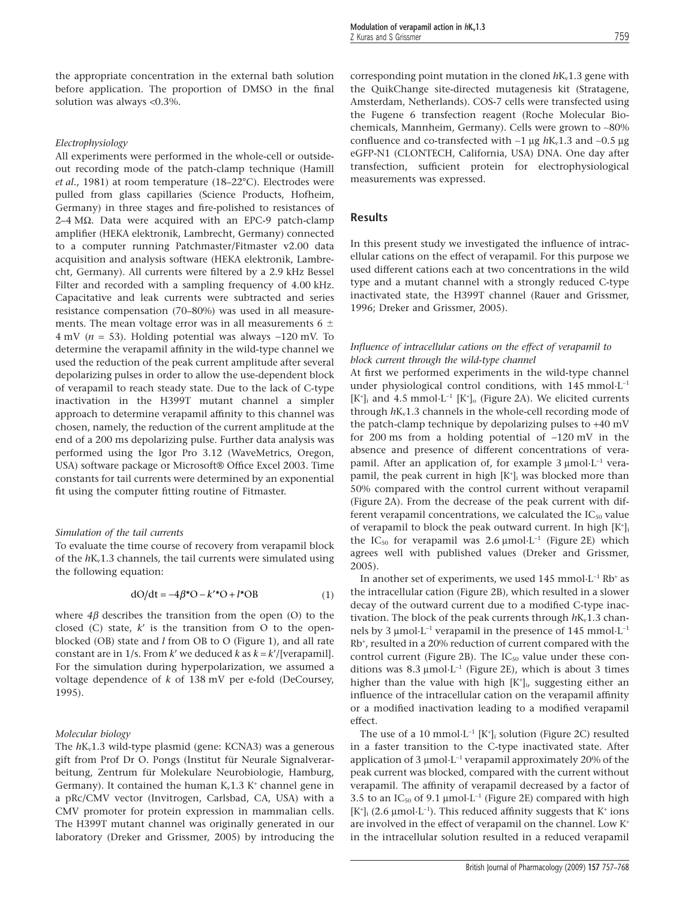the appropriate concentration in the external bath solution before application. The proportion of DMSO in the final solution was always <0.3%.

#### *Electrophysiology*

All experiments were performed in the whole-cell or outsideout recording mode of the patch-clamp technique (Hamill *et al.*, 1981) at room temperature (18–22°C). Electrodes were pulled from glass capillaries (Science Products, Hofheim, Germany) in three stages and fire-polished to resistances of 2–4 MΩ. Data were acquired with an EPC-9 patch-clamp amplifier (HEKA elektronik, Lambrecht, Germany) connected to a computer running Patchmaster/Fitmaster v2.00 data acquisition and analysis software (HEKA elektronik, Lambrecht, Germany). All currents were filtered by a 2.9 kHz Bessel Filter and recorded with a sampling frequency of 4.00 kHz. Capacitative and leak currents were subtracted and series resistance compensation (70–80%) was used in all measurements. The mean voltage error was in all measurements 6  $\pm$  $4 \text{ mV}$  ( $n = 53$ ). Holding potential was always  $-120 \text{ mV}$ . To determine the verapamil affinity in the wild-type channel we used the reduction of the peak current amplitude after several depolarizing pulses in order to allow the use-dependent block of verapamil to reach steady state. Due to the lack of C-type inactivation in the H399T mutant channel a simpler approach to determine verapamil affinity to this channel was chosen, namely, the reduction of the current amplitude at the end of a 200 ms depolarizing pulse. Further data analysis was performed using the Igor Pro 3.12 (WaveMetrics, Oregon, USA) software package or Microsoft® Office Excel 2003. Time constants for tail currents were determined by an exponential fit using the computer fitting routine of Fitmaster.

#### *Simulation of the tail currents*

To evaluate the time course of recovery from verapamil block of the *h*Kv1.3 channels, the tail currents were simulated using the following equation:

$$
dO/dt = -4\beta^*O - k'^*O + l^*OB \tag{1}
$$

where  $4\beta$  describes the transition from the open (O) to the closed (C) state, *k*' is the transition from O to the openblocked (OB) state and *l* from OB to O (Figure 1), and all rate constant are in  $1/s$ . From *k'* we deduced *k* as  $k = k'/[$ verapamil]. For the simulation during hyperpolarization, we assumed a voltage dependence of *k* of 138 mV per e-fold (DeCoursey, 1995).

#### *Molecular biology*

The  $hK_v1.3$  wild-type plasmid (gene: KCNA3) was a generous gift from Prof Dr O. Pongs (Institut für Neurale Signalverarbeitung, Zentrum für Molekulare Neurobiologie, Hamburg, Germany). It contained the human  $K_v1.3 K^+$  channel gene in a pRc/CMV vector (Invitrogen, Carlsbad, CA, USA) with a CMV promoter for protein expression in mammalian cells. The H399T mutant channel was originally generated in our laboratory (Dreker and Grissmer, 2005) by introducing the corresponding point mutation in the cloned  $hK_v1.3$  gene with the QuikChange site-directed mutagenesis kit (Stratagene, Amsterdam, Netherlands). COS-7 cells were transfected using the Fugene 6 transfection reagent (Roche Molecular Biochemicals, Mannheim, Germany). Cells were grown to ~80% confluence and co-transfected with  $\sim$ 1 µg  $h$ K<sub>v</sub>1.3 and  $\sim$ 0.5 µg eGFP-N1 (CLONTECH, California, USA) DNA. One day after transfection, sufficient protein for electrophysiological measurements was expressed.

## **Results**

In this present study we investigated the influence of intracellular cations on the effect of verapamil. For this purpose we used different cations each at two concentrations in the wild type and a mutant channel with a strongly reduced C-type inactivated state, the H399T channel (Rauer and Grissmer, 1996; Dreker and Grissmer, 2005).

## *Influence of intracellular cations on the effect of verapamil to block current through the wild-type channel*

At first we performed experiments in the wild-type channel under physiological control conditions, with 145 mmol·L-<sup>1</sup>  $[K^{\dagger}]$  and 4.5 mmol·L<sup>-1</sup>  $[K^{\dagger}]$  (Figure 2A). We elicited currents through  $hK_v1.3$  channels in the whole-cell recording mode of the patch-clamp technique by depolarizing pulses to +40 mV for 200 ms from a holding potential of  $-120$  mV in the absence and presence of different concentrations of verapamil. After an application of, for example  $3 \mu$ mol·L<sup>-1</sup> verapamil, the peak current in high  $[K^+]$  was blocked more than 50% compared with the control current without verapamil (Figure 2A). From the decrease of the peak current with different verapamil concentrations, we calculated the  $IC_{50}$  value of verapamil to block the peak outward current. In high [K<sup>+</sup>] the  $IC_{50}$  for verapamil was 2.6  $\mu$ mol·L<sup>-1</sup> (Figure 2E) which agrees well with published values (Dreker and Grissmer, 2005).

In another set of experiments, we used 145 mmol $\cdot$ L<sup>-1</sup> Rb<sup>+</sup> as the intracellular cation (Figure 2B), which resulted in a slower decay of the outward current due to a modified C-type inactivation. The block of the peak currents through  $h_{\text{Nv}}(1.3)$  channels by 3  $\mu$ mol·L<sup>-1</sup> verapamil in the presence of 145 mmol·L<sup>-1</sup> Rb<sup>+</sup> , resulted in a 20% reduction of current compared with the control current (Figure 2B). The  $IC_{50}$  value under these conditions was 8.3  $\mu$ mol·L<sup>-1</sup> (Figure 2E), which is about 3 times higher than the value with high  $[K^+]_i$ , suggesting either an influence of the intracellular cation on the verapamil affinity or a modified inactivation leading to a modified verapamil effect.

The use of a 10 mmol $\cdot L^{-1}$  [K<sup>+</sup>]<sub>i</sub> solution (Figure 2C) resulted in a faster transition to the C-type inactivated state. After application of 3  $\mu$ mol·L<sup>-1</sup> verapamil approximately 20% of the peak current was blocked, compared with the current without verapamil. The affinity of verapamil decreased by a factor of 3.5 to an  $IC_{50}$  of 9.1 µmol $\cdot L^{-1}$  (Figure 2E) compared with high  $[K^*]_i$  (2.6 µmol·L<sup>-1</sup>). This reduced affinity suggests that  $K^*$  ions are involved in the effect of verapamil on the channel. Low K<sup>+</sup> in the intracellular solution resulted in a reduced verapamil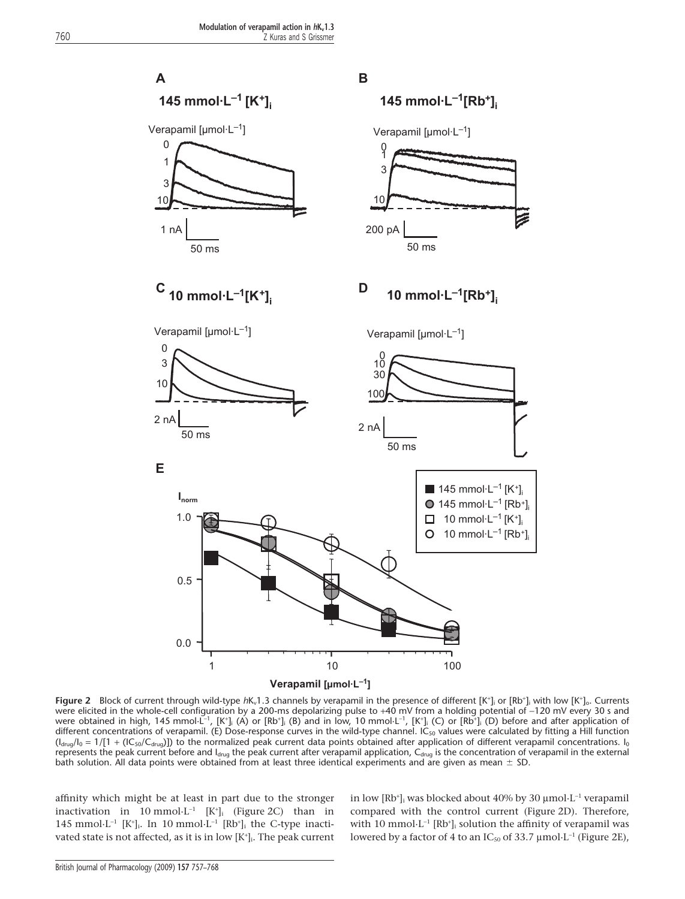

Figure 2 Block of current through wild-type  $h$ K<sub>v</sub>1.3 channels by verapamil in the presence of different [K<sup>+</sup>]<sub>i</sub> or [Rb<sup>+</sup>]<sub>i</sub> with low [K<sup>+</sup>]<sub>o</sub>. Currents were elicited in the whole-cell configuration by a 200-ms depolarizing pulse to +40 mV from a holding potential of -120 mV every 30 s and were obtained in high, 145 mmol·L<sup>-1</sup>, [K+]<sub>i</sub> (A) or [Rb+]<sub>i</sub> (B) and in low, 10 mmol·L<sup>-1</sup>, [K+]<sub>i</sub> (C) or [Rb+]<sub>i</sub> (D) before and after application of different concentrations of verapamil. (E) Dose-response curves in the wild-type channel. IC<sub>50</sub> values were calculated by fitting a Hill function  $(I_{\text{drug}}/I_0 = 1/[1 + (IC_{50}/C_{\text{drug}})])$  to the normalized peak current data points obtained after application of different verapamil concentrations. I<sub>0</sub> represents the peak current before and Idrug the peak current after verapamil application, Cdrug is the concentration of verapamil in the external bath solution. All data points were obtained from at least three identical experiments and are given as mean  $\pm$  SD.

affinity which might be at least in part due to the stronger inactivation in 10 mmol $\cdot$ L<sup>-1</sup> [K<sup>+</sup>]<sub>i</sub> (Figure 2C) than in 145 mmol·L<sup>-1</sup>  $[K^{\dagger}]_i$ . In 10 mmol·L<sup>-1</sup>  $[Rb^{\dagger}]_i$  the C-type inactivated state is not affected, as it is in low  $[K^{\scriptscriptstyle +}]$ . The peak current

in low [Rb<sup>+</sup>]<sub>i</sub> was blocked about 40% by 30 µmol·L<sup>-1</sup> verapamil compared with the control current (Figure 2D). Therefore, with 10 mmol $\cdot$ L<sup>-1</sup> [Rb<sup>+</sup>]<sub>i</sub> solution the affinity of verapamil was lowered by a factor of 4 to an  $IC_{50}$  of 33.7 µmol $\cdot$ L<sup>-1</sup> (Figure 2E),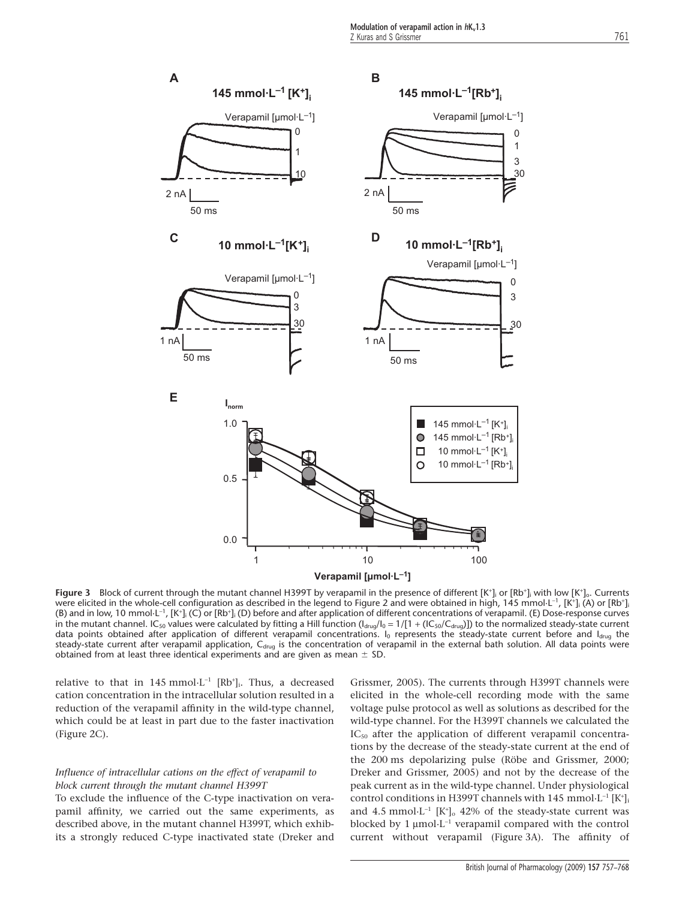

Figure 3 Block of current through the mutant channel H399T by verapamil in the presence of different [K<sup>+</sup>]<sub>i</sub> or [Rb<sup>+</sup>]<sub>i</sub> with low [K<sup>+</sup>]<sub>o</sub>. Currents were elicited in the whole-cell configuration as described in the legend to Figure 2 and were obtained in high, 145 mmol $\mathsf{L}^{-1}$ , [K\*]; (A) or [Rb\*] (B) and in low, 10 mmol $\cdot$ L<sup>-1</sup>, [K<sup>+</sup>]<sub>i</sub> (C) or [Rb<sup>+</sup>]<sub>i</sub> (D) before and after application of different concentrations of verapamil. (E) Dose-response curves in the mutant channel. IC<sub>50</sub> values were calculated by fitting a Hill function ( $I_{drag}/I_0 = 1/[1 + (IC_{50}/C_{drag})]$ ) to the normalized steady-state current data points obtained after application of different verapamil concentrations. I<sub>0</sub> represents the steady-state current before and I<sub>drug</sub> the steady-state current after verapamil application, C<sub>drug</sub> is the concentration of verapamil in the external bath solution. All data points were obtained from at least three identical experiments and are given as mean  $\pm$  SD.

relative to that in  $145 \text{ mmol} \cdot L^{-1}$   $[\text{Rb}^+]$ . Thus, a decreased cation concentration in the intracellular solution resulted in a reduction of the verapamil affinity in the wild-type channel, which could be at least in part due to the faster inactivation (Figure 2C).

## *Influence of intracellular cations on the effect of verapamil to block current through the mutant channel H399T*

To exclude the influence of the C-type inactivation on verapamil affinity, we carried out the same experiments, as described above, in the mutant channel H399T, which exhibits a strongly reduced C-type inactivated state (Dreker and

Grissmer, 2005). The currents through H399T channels were elicited in the whole-cell recording mode with the same voltage pulse protocol as well as solutions as described for the wild-type channel. For the H399T channels we calculated the IC<sub>50</sub> after the application of different verapamil concentrations by the decrease of the steady-state current at the end of the 200 ms depolarizing pulse (Röbe and Grissmer, 2000; Dreker and Grissmer, 2005) and not by the decrease of the peak current as in the wild-type channel. Under physiological control conditions in H399T channels with 145 mmol $\cdot$ L<sup>-1</sup> [K<sup>+</sup>]<sub>i</sub> and 4.5 mmol $\cdot$ L<sup>-1</sup> [K<sup>+</sup>] $_{\rm o}$  42% of the steady-state current was blocked by  $1 \mu$ mol·L<sup>-1</sup> verapamil compared with the control current without verapamil (Figure 3A). The affinity of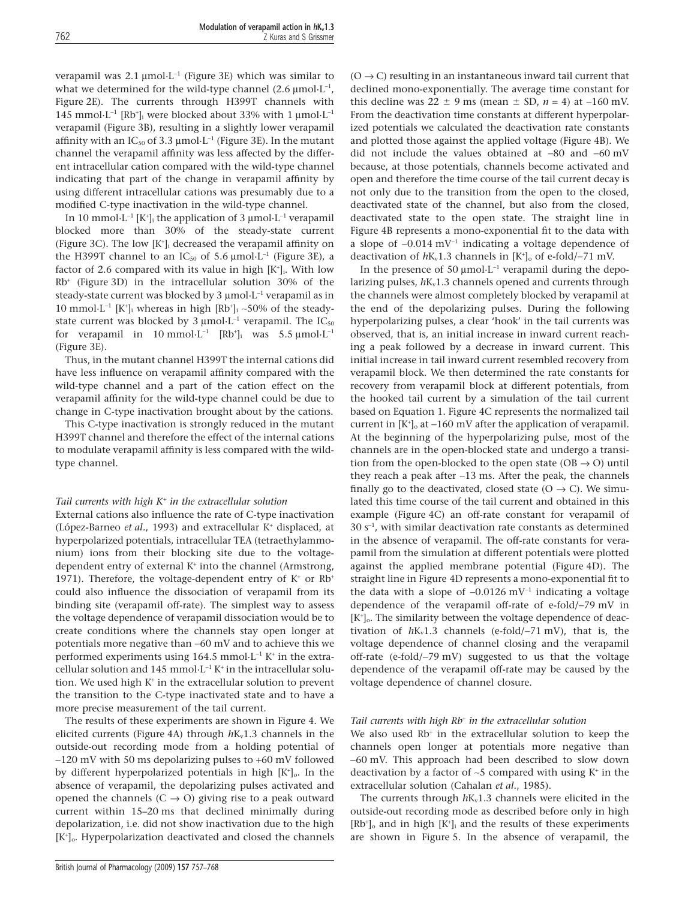verapamil was  $2.1 \mu \text{mol} \cdot L^{-1}$  (Figure 3E) which was similar to what we determined for the wild-type channel (2.6  $\mu$ mol·L<sup>-1</sup>, Figure 2E). The currents through H399T channels with 145 mmol $\cdot$ L<sup>-1</sup> [Rb<sup>+</sup>]<sub>i</sub> were blocked about 33% with 1  $\mu$ mol $\cdot$ L<sup>-1</sup> verapamil (Figure 3B), resulting in a slightly lower verapamil affinity with an  $IC_{50}$  of 3.3 µmol $\cdot L^{-1}$  (Figure 3E). In the mutant channel the verapamil affinity was less affected by the different intracellular cation compared with the wild-type channel indicating that part of the change in verapamil affinity by using different intracellular cations was presumably due to a modified C-type inactivation in the wild-type channel.

In 10 mmol $\cdot$ L<sup>-1</sup> [K<sup>+</sup>]<sub>i</sub> the application of 3 µmol $\cdot$ L<sup>-1</sup> verapamil blocked more than 30% of the steady-state current (Figure 3C). The low  $[K^+]$  decreased the verapamil affinity on the H399T channel to an  $IC_{50}$  of 5.6  $\mu$ mol·L<sup>-1</sup> (Figure 3E), a factor of 2.6 compared with its value in high [K<sup>+</sup>]<sub>i</sub>. With low Rb<sup>+</sup> (Figure 3D) in the intracellular solution 30% of the steady-state current was blocked by  $3 \mu$ mol·L<sup>-1</sup> verapamil as in 10 mmol $\cdot$ L<sup>-1</sup> [K<sup>+</sup>]<sub>i</sub> whereas in high [Rb<sup>+</sup>]<sub>i</sub> ~50% of the steadystate current was blocked by 3  $\mu$ mol·L<sup>-1</sup> verapamil. The IC<sub>50</sub> for verapamil in 10 mmol·L<sup>-1</sup>  $[Rb<sup>+</sup>]$ <sub>i</sub> was 5.5 µmol·L<sup>-1</sup> (Figure 3E).

Thus, in the mutant channel H399T the internal cations did have less influence on verapamil affinity compared with the wild-type channel and a part of the cation effect on the verapamil affinity for the wild-type channel could be due to change in C-type inactivation brought about by the cations.

This C-type inactivation is strongly reduced in the mutant H399T channel and therefore the effect of the internal cations to modulate verapamil affinity is less compared with the wildtype channel.

## *Tail currents with high K*<sup>+</sup> *in the extracellular solution*

External cations also influence the rate of C-type inactivation (López-Barneo *et al.*, 1993) and extracellular K<sup>+</sup> displaced, at hyperpolarized potentials, intracellular TEA (tetraethylammonium) ions from their blocking site due to the voltagedependent entry of external  $K^+$  into the channel (Armstrong, 1971). Therefore, the voltage-dependent entry of  $K^+$  or  $Rb^+$ could also influence the dissociation of verapamil from its binding site (verapamil off-rate). The simplest way to assess the voltage dependence of verapamil dissociation would be to create conditions where the channels stay open longer at potentials more negative than -60 mV and to achieve this we performed experiments using 164.5 mmol $\cdot$ L<sup>-1</sup> K<sup>+</sup> in the extracellular solution and 145 mmol $\cdot L^{-1} K^+$  in the intracellular solution. We used high K<sup>+</sup> in the extracellular solution to prevent the transition to the C-type inactivated state and to have a more precise measurement of the tail current.

The results of these experiments are shown in Figure 4. We elicited currents (Figure 4A) through  $hK<sub>v</sub>1.3$  channels in the outside-out recording mode from a holding potential of -120 mV with 50 ms depolarizing pulses to +60 mV followed by different hyperpolarized potentials in high [K<sup>+</sup>]<sub>0</sub>. In the absence of verapamil, the depolarizing pulses activated and opened the channels  $(C \rightarrow O)$  giving rise to a peak outward current within 15–20 ms that declined minimally during depolarization, i.e. did not show inactivation due to the high [K<sup>+</sup> ]o. Hyperpolarization deactivated and closed the channels

 $(O \rightarrow C)$  resulting in an instantaneous inward tail current that declined mono-exponentially. The average time constant for this decline was  $22 \pm 9$  ms (mean  $\pm$  SD,  $n = 4$ ) at  $-160$  mV. From the deactivation time constants at different hyperpolarized potentials we calculated the deactivation rate constants and plotted those against the applied voltage (Figure 4B). We did not include the values obtained at  $-80$  and  $-60$  mV because, at those potentials, channels become activated and open and therefore the time course of the tail current decay is not only due to the transition from the open to the closed, deactivated state of the channel, but also from the closed, deactivated state to the open state. The straight line in Figure 4B represents a mono-exponential fit to the data with a slope of  $-0.014 \text{ mV}^{-1}$  indicating a voltage dependence of deactivation of  $hK_v1.3$  channels in  $[K^{\dagger}]_0$  of e-fold/-71 mV.

In the presence of 50  $\mu$ mol·L<sup>-1</sup> verapamil during the depolarizing pulses,  $hK_v1.3$  channels opened and currents through the channels were almost completely blocked by verapamil at the end of the depolarizing pulses. During the following hyperpolarizing pulses, a clear 'hook' in the tail currents was observed, that is, an initial increase in inward current reaching a peak followed by a decrease in inward current. This initial increase in tail inward current resembled recovery from verapamil block. We then determined the rate constants for recovery from verapamil block at different potentials, from the hooked tail current by a simulation of the tail current based on Equation 1. Figure 4C represents the normalized tail current in  $[K^{\dagger}]_0$  at  $-160$  mV after the application of verapamil. At the beginning of the hyperpolarizing pulse, most of the channels are in the open-blocked state and undergo a transition from the open-blocked to the open state (OB  $\rightarrow$  O) until they reach a peak after  $~13$  ms. After the peak, the channels finally go to the deactivated, closed state  $(O \rightarrow C)$ . We simulated this time course of the tail current and obtained in this example (Figure 4C) an off-rate constant for verapamil of 30 s-<sup>1</sup> , with similar deactivation rate constants as determined in the absence of verapamil. The off-rate constants for verapamil from the simulation at different potentials were plotted against the applied membrane potential (Figure 4D). The straight line in Figure 4D represents a mono-exponential fit to the data with a slope of  $-0.0126$  mV<sup>-1</sup> indicating a voltage dependence of the verapamil off-rate of e-fold/-79 mV in [K<sup>+</sup> ]o. The similarity between the voltage dependence of deactivation of  $hK_v1.3$  channels (e-fold/-71 mV), that is, the voltage dependence of channel closing and the verapamil off-rate (e-fold/-79 mV) suggested to us that the voltage dependence of the verapamil off-rate may be caused by the voltage dependence of channel closure.

#### *Tail currents with high Rb*<sup>+</sup> *in the extracellular solution*

We also used  $Rb<sup>+</sup>$  in the extracellular solution to keep the channels open longer at potentials more negative than -60 mV. This approach had been described to slow down deactivation by a factor of  $\sim$ 5 compared with using  $K^+$  in the extracellular solution (Cahalan *et al.*, 1985).

The currents through  $hK_v1.3$  channels were elicited in the outside-out recording mode as described before only in high  $[Rb<sup>+</sup>]$ <sub>o</sub> and in high  $[K<sup>+</sup>]$ <sub>i</sub> and the results of these experiments are shown in Figure 5. In the absence of verapamil, the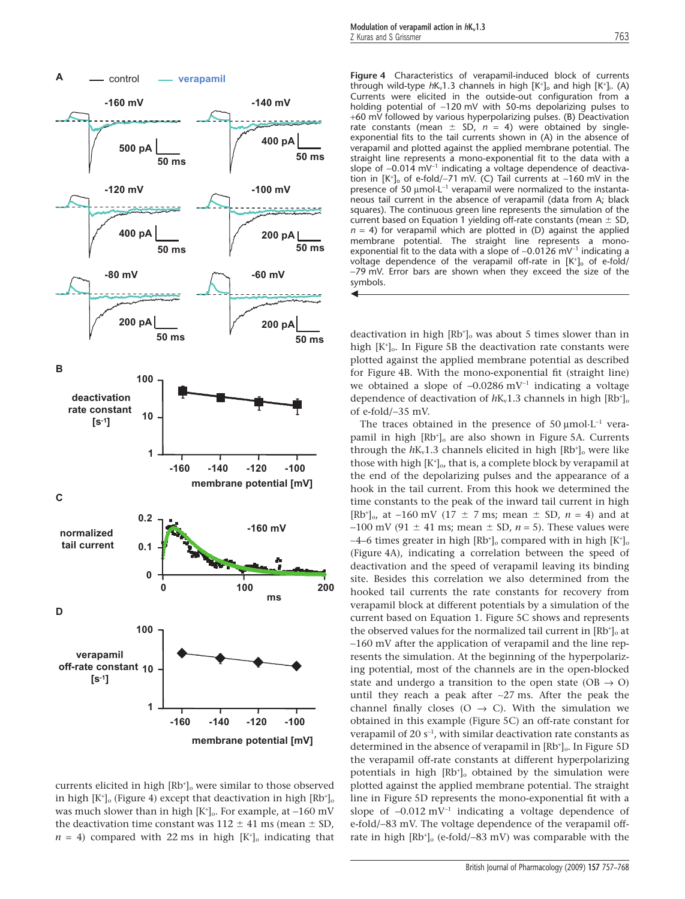

currents elicited in high [Rb<sup>+</sup>]<sub>o</sub> were similar to those observed in high  $[K^{\scriptscriptstyle +}]_{\rm o}$  (Figure 4) except that deactivation in high  $[\rm Rb^{\scriptscriptstyle +}]_{\rm o}$ was much slower than in high  $[K^{\scriptscriptstyle +}]_{\rm o}$ . For example, at –160 mV the deactivation time constant was  $112 \pm 41$  ms (mean  $\pm$  SD,  $n = 4$ ) compared with 22 ms in high  $[K^+]_0$  indicating that

control **verapamil Figure 4** Characteristics of verapamil-induced block of currents through wild-type  $hK_v1.3$  channels in high  $[K^+]_0$  and high  $[K^+]_i$ . (A) Currents were elicited in the outside-out configuration from a holding potential of  $-120$  mV with 50-ms depolarizing pulses to +60 mV followed by various hyperpolarizing pulses. (B) Deactivation rate constants (mean  $\pm$  SD,  $n = 4$ ) were obtained by singleexponential fits to the tail currents shown in (A) in the absence of verapamil and plotted against the applied membrane potential. The straight line represents a mono-exponential fit to the data with a slope of  $-0.014 \text{ mV}^{-1}$  indicating a voltage dependence of deactivation in  $[K^+]$ <sub>o</sub> of e-fold/-71 mV. (C) Tail currents at -160 mV in the presence of 50  $\mu$ mol·L<sup>-1</sup> verapamil were normalized to the instantaneous tail current in the absence of verapamil (data from A; black squares). The continuous green line represents the simulation of the current based on Equation 1 yielding off-rate constants (mean  $\pm$  SD,  $n = 4$ ) for verapamil which are plotted in (D) against the applied membrane potential. The straight line represents a monoexponential fit to the data with a slope of  $-0.0126$  mV<sup>-1</sup> indicating a voltage dependence of the verapamil off-rate in [K<sup>+</sup>]<sub>o</sub> of e-fold/ -79 mV. Error bars are shown when they exceed the size of the symbols.  $\blacktriangleleft$ 

> deactivation in high  $[Rb<sup>+</sup>]_{o}$  was about 5 times slower than in high  $[K^{\dagger}]$ . In Figure 5B the deactivation rate constants were plotted against the applied membrane potential as described for Figure 4B. With the mono-exponential fit (straight line) we obtained a slope of  $-0.0286$  mV<sup>-1</sup> indicating a voltage dependence of deactivation of  $hK_v1.3$  channels in high  $[Rb^+]_c$ of e-fold/-35 mV.

> The traces obtained in the presence of 50  $\mu$ mol·L<sup>-1</sup> verapamil in high [Rb<sup>+</sup>]<sub>o</sub> are also shown in Figure 5A. Currents through the  $hK_v1.3$  channels elicited in high  $[Rb<sup>+</sup>]$ <sub>o</sub> were like those with high [K<sup>+</sup> ]o, that is, a complete block by verapamil at the end of the depolarizing pulses and the appearance of a hook in the tail current. From this hook we determined the time constants to the peak of the inward tail current in high  $[Rb<sup>+</sup>]_{0}$ , at  $-160$  mV (17  $\pm$  7 ms; mean  $\pm$  SD,  $n = 4$ ) and at  $-100$  mV (91  $\pm$  41 ms; mean  $\pm$  SD, *n* = 5). These values were ~4–6 times greater in high  $[Rb<sup>+</sup>]_{\circ}$  compared with in high  $[K<sup>+</sup>]_{\circ}$ (Figure 4A), indicating a correlation between the speed of deactivation and the speed of verapamil leaving its binding site. Besides this correlation we also determined from the hooked tail currents the rate constants for recovery from verapamil block at different potentials by a simulation of the current based on Equation 1. Figure 5C shows and represents the observed values for the normalized tail current in  $[Rb<sup>+</sup>]_{o}$  at -160 mV after the application of verapamil and the line represents the simulation. At the beginning of the hyperpolarizing potential, most of the channels are in the open-blocked state and undergo a transition to the open state (OB  $\rightarrow$  O) until they reach a peak after ~27 ms. After the peak the channel finally closes (O  $\rightarrow$  C). With the simulation we obtained in this example (Figure 5C) an off-rate constant for verapamil of 20 $s^{-1}$ , with similar deactivation rate constants as determined in the absence of verapamil in [Rb<sup>+</sup>].. In Figure 5D the verapamil off-rate constants at different hyperpolarizing potentials in high [Rb<sup>+</sup>]<sub>o</sub> obtained by the simulation were plotted against the applied membrane potential. The straight line in Figure 5D represents the mono-exponential fit with a slope of  $-0.012$  mV<sup>-1</sup> indicating a voltage dependence of e-fold/-83 mV. The voltage dependence of the verapamil offrate in high [Rb<sup>+</sup>]<sub>o</sub> (e-fold/-83 mV) was comparable with the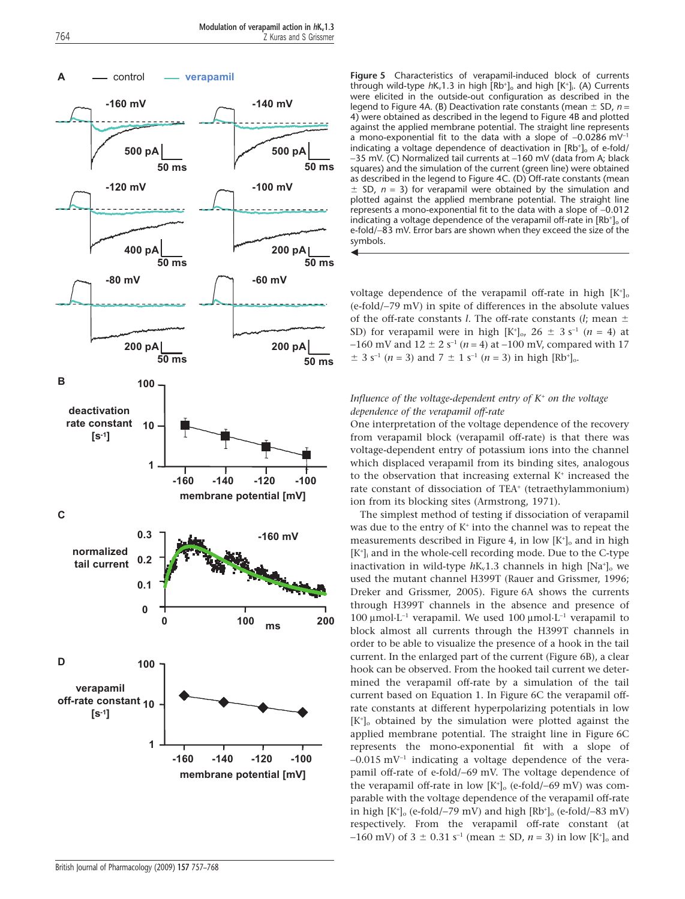$\blacktriangleleft$ 



control **verapamil Figure 5** Characteristics of verapamil-induced block of currents through wild-type  $hK_v1.3$  in high  $[Rb^+]_0$  and high  $[K^+]_i$ . (A) Currents were elicited in the outside-out configuration as described in the legend to Figure 4A. (B) Deactivation rate constants (mean  $\pm$  SD, n = 4) were obtained as described in the legend to Figure 4B and plotted against the applied membrane potential. The straight line represents a mono-exponential fit to the data with a slope of  $-0.0286$  mV<sup>-1</sup> indicating a voltage dependence of deactivation in [Rb<sup>+</sup>]<sub>o</sub> of e-fold/ -35 mV. (C) Normalized tail currents at -160 mV (data from A; black squares) and the simulation of the current (green line) were obtained as described in the legend to Figure 4C. (D) Off-rate constants (mean  $\pm$ SD,  $n = 3$ ) for verapamil were obtained by the simulation and plotted against the applied membrane potential. The straight line represents a mono-exponential fit to the data with a slope of -0.012 indicating a voltage dependence of the verapamil off-rate in [Rb<sup>+</sup>]<sub>o</sub> of e-fold/-83 mV. Error bars are shown when they exceed the size of the symbols.

> voltage dependence of the verapamil off-rate in high  $[K^+]_c$ (e-fold/-79 mV) in spite of differences in the absolute values of the off-rate constants *l*. The off-rate constants (*l*; mean  $\pm$ SD) for verapamil were in high  $[K^+]_0$ , 26  $\pm$  3 s<sup>-1</sup> (*n* = 4) at  $-160$  mV and  $12 \pm 2$  s<sup>-1</sup> (*n* = 4) at  $-100$  mV, compared with 17  $\pm$  3 s<sup>-1</sup> (*n* = 3) and 7  $\pm$  1 s<sup>-1</sup> (*n* = 3) in high [Rb<sup>+</sup>]<sub>0</sub>.

## *Influence of the voltage-dependent entry of K*<sup>+</sup> *on the voltage dependence of the verapamil off-rate*

One interpretation of the voltage dependence of the recovery from verapamil block (verapamil off-rate) is that there was voltage-dependent entry of potassium ions into the channel which displaced verapamil from its binding sites, analogous to the observation that increasing external  $K^+$  increased the rate constant of dissociation of TEA<sup>+</sup> (tetraethylammonium) ion from its blocking sites (Armstrong, 1971).

The simplest method of testing if dissociation of verapamil was due to the entry of  $K^+$  into the channel was to repeat the measurements described in Figure 4, in low  $[K^{\dagger}]_0$  and in high [K<sup>+</sup>]<sub>i</sub> and in the whole-cell recording mode. Due to the C-type inactivation in wild-type  $hK_v1.3$  channels in high  $[Na^+]$ <sub>o</sub> we used the mutant channel H399T (Rauer and Grissmer, 1996; Dreker and Grissmer, 2005). Figure 6A shows the currents through H399T channels in the absence and presence of 100  $\mu$ mol·L<sup>-1</sup> verapamil. We used 100  $\mu$ mol·L<sup>-1</sup> verapamil to block almost all currents through the H399T channels in order to be able to visualize the presence of a hook in the tail current. In the enlarged part of the current (Figure 6B), a clear hook can be observed. From the hooked tail current we determined the verapamil off-rate by a simulation of the tail current based on Equation 1. In Figure 6C the verapamil offrate constants at different hyperpolarizing potentials in low [K<sup>+</sup> ]o obtained by the simulation were plotted against the applied membrane potential. The straight line in Figure 6C represents the mono-exponential fit with a slope of  $-0.015$  mV<sup>-1</sup> indicating a voltage dependence of the verapamil off-rate of e-fold/-69 mV. The voltage dependence of the verapamil off-rate in low  $[K^+]$ <sub>o</sub> (e-fold/-69 mV) was comparable with the voltage dependence of the verapamil off-rate in high  $[K^+]$ <sub>o</sub> (e-fold/-79 mV) and high  $[Rb^+]$ <sub>o</sub> (e-fold/-83 mV) respectively. From the verapamil off-rate constant (at  $-160$  mV) of 3  $\pm$  0.31 s<sup>-1</sup> (mean  $\pm$  SD, *n* = 3) in low [K<sup>+</sup>]<sub>o</sub> and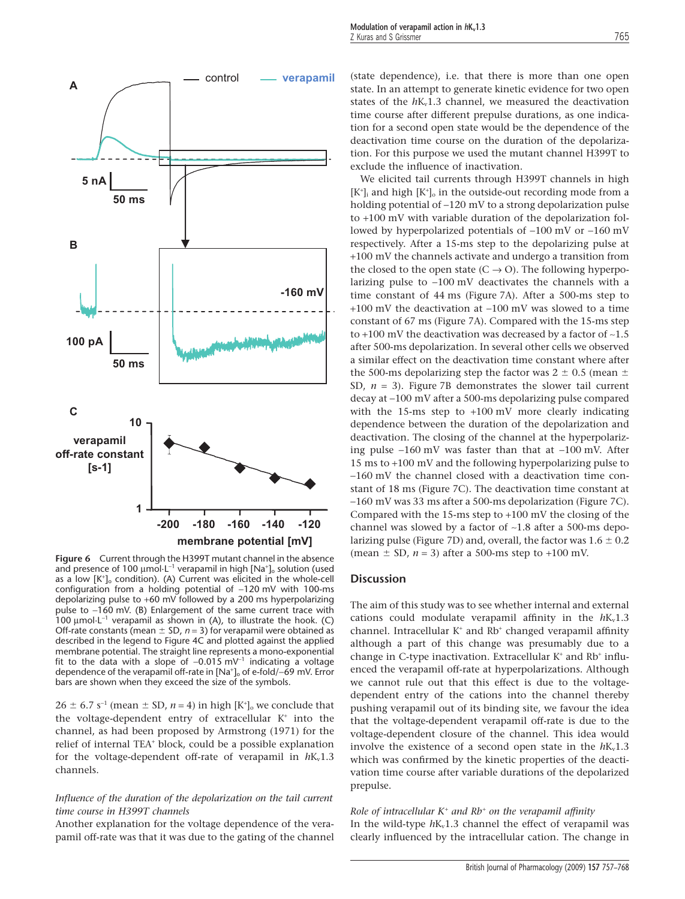

**Figure 6** Current through the H399T mutant channel in the absence and presence of 100  $\upmu$ mol $\cdot$ L $^{-1}$  verapamil in high [Na $^{\scriptscriptstyle +}$ ] $_{\scriptscriptstyle \rm o}$  solution (used as a low [K<sup>+</sup> ]o condition). (A) Current was elicited in the whole-cell configuration from a holding potential of  $-120$  mV with 100-ms depolarizing pulse to +60 mV followed by a 200 ms hyperpolarizing pulse to -160 mV. (B) Enlargement of the same current trace with  $100 \mu$ mol·L<sup>-1</sup> verapamil as shown in (A), to illustrate the hook. (C) Off-rate constants (mean  $\pm$  SD,  $n$  = 3) for verapamil were obtained as described in the legend to Figure 4C and plotted against the applied membrane potential. The straight line represents a mono-exponential fit to the data with a slope of  $-0.015$  mV<sup>-1</sup> indicating a voltage dependence of the verapamil off-rate in [Na<sup>+</sup>]<sub>o</sub> of e-fold/–69 mV. Error bars are shown when they exceed the size of the symbols.

 $26 \pm 6.7$  s<sup>-1</sup> (mean  $\pm$  SD, *n* = 4) in high [K<sup>+</sup>]<sub>o</sub> we conclude that the voltage-dependent entry of extracellular K<sup>+</sup> into the channel, as had been proposed by Armstrong (1971) for the relief of internal TEA<sup>+</sup> block, could be a possible explanation for the voltage-dependent off-rate of verapamil in  $hK_v1.3$ channels.

## *Influence of the duration of the depolarization on the tail current time course in H399T channels*

Another explanation for the voltage dependence of the verapamil off-rate was that it was due to the gating of the channel (state dependence), i.e. that there is more than one open state. In an attempt to generate kinetic evidence for two open states of the  $hK<sub>v</sub>1.3$  channel, we measured the deactivation time course after different prepulse durations, as one indication for a second open state would be the dependence of the deactivation time course on the duration of the depolarization. For this purpose we used the mutant channel H399T to exclude the influence of inactivation.

We elicited tail currents through H399T channels in high  $[K^{\dagger}]$  and high  $[K^{\dagger}]$  in the outside-out recording mode from a holding potential of -120 mV to a strong depolarization pulse to +100 mV with variable duration of the depolarization followed by hyperpolarized potentials of  $-100$  mV or  $-160$  mV respectively. After a 15-ms step to the depolarizing pulse at +100 mV the channels activate and undergo a transition from the closed to the open state  $(C \rightarrow O)$ . The following hyperpolarizing pulse to -100 mV deactivates the channels with a time constant of 44 ms (Figure 7A). After a 500-ms step to  $+100$  mV the deactivation at  $-100$  mV was slowed to a time constant of 67 ms (Figure 7A). Compared with the 15-ms step to  $+100$  mV the deactivation was decreased by a factor of  $-1.5$ after 500-ms depolarization. In several other cells we observed a similar effect on the deactivation time constant where after the 500-ms depolarizing step the factor was  $2 \pm 0.5$  (mean  $\pm$ SD, *n* = 3). Figure 7B demonstrates the slower tail current decay at -100 mV after a 500-ms depolarizing pulse compared with the 15-ms step to +100 mV more clearly indicating dependence between the duration of the depolarization and deactivation. The closing of the channel at the hyperpolarizing pulse  $-160$  mV was faster than that at  $-100$  mV. After 15 ms to +100 mV and the following hyperpolarizing pulse to -160 mV the channel closed with a deactivation time constant of 18 ms (Figure 7C). The deactivation time constant at -160 mV was 33 ms after a 500-ms depolarization (Figure 7C). Compared with the 15-ms step to +100 mV the closing of the channel was slowed by a factor of ~1.8 after a 500-ms depolarizing pulse (Figure 7D) and, overall, the factor was  $1.6 \pm 0.2$ (mean  $\pm$  SD,  $n = 3$ ) after a 500-ms step to +100 mV.

## **Discussion**

The aim of this study was to see whether internal and external cations could modulate verapamil affinity in the  $hK_v1.3$ channel. Intracellular  $K^*$  and  $Rb^*$  changed verapamil affinity although a part of this change was presumably due to a change in C-type inactivation. Extracellular  $K^+$  and  $Rb^+$  influenced the verapamil off-rate at hyperpolarizations. Although we cannot rule out that this effect is due to the voltagedependent entry of the cations into the channel thereby pushing verapamil out of its binding site, we favour the idea that the voltage-dependent verapamil off-rate is due to the voltage-dependent closure of the channel. This idea would involve the existence of a second open state in the  $hK_v1.3$ which was confirmed by the kinetic properties of the deactivation time course after variable durations of the depolarized prepulse.

*Role of intracellular K*<sup>+</sup> *and Rb*<sup>+</sup> *on the verapamil affinity* In the wild-type  $hK_v1.3$  channel the effect of verapamil was clearly influenced by the intracellular cation. The change in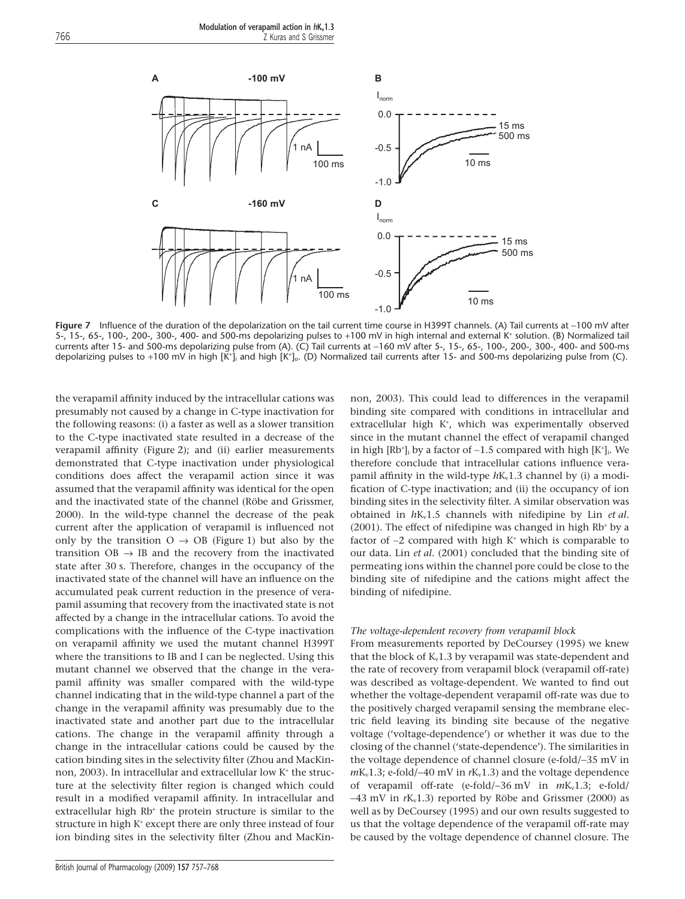

**Figure 7** Influence of the duration of the depolarization on the tail current time course in H399T channels. (A) Tail currents at -100 mV after 5-, 15-, 65-, 100-, 200-, 300-, 400- and 500-ms depolarizing pulses to +100 mV in high internal and external K<sup>+</sup> solution. (B) Normalized tail currents after 15- and 500-ms depolarizing pulse from (A). (C) Tail currents at -160 mV after 5-, 15-, 65-, 100-, 200-, 300-, 400- and 500-ms depolarizing pulses to +100 mV in high [K\*], and high [K\*]。(D) Normalized tail currents after 15- and 500-ms depolarizing pulse from (C).

the verapamil affinity induced by the intracellular cations was presumably not caused by a change in C-type inactivation for the following reasons: (i) a faster as well as a slower transition to the C-type inactivated state resulted in a decrease of the verapamil affinity (Figure 2); and (ii) earlier measurements demonstrated that C-type inactivation under physiological conditions does affect the verapamil action since it was assumed that the verapamil affinity was identical for the open and the inactivated state of the channel (Röbe and Grissmer, 2000). In the wild-type channel the decrease of the peak current after the application of verapamil is influenced not only by the transition  $O \rightarrow OB$  (Figure 1) but also by the transition  $OB \rightarrow IB$  and the recovery from the inactivated state after 30 s. Therefore, changes in the occupancy of the inactivated state of the channel will have an influence on the accumulated peak current reduction in the presence of verapamil assuming that recovery from the inactivated state is not affected by a change in the intracellular cations. To avoid the complications with the influence of the C-type inactivation on verapamil affinity we used the mutant channel H399T where the transitions to IB and I can be neglected. Using this mutant channel we observed that the change in the verapamil affinity was smaller compared with the wild-type channel indicating that in the wild-type channel a part of the change in the verapamil affinity was presumably due to the inactivated state and another part due to the intracellular cations. The change in the verapamil affinity through a change in the intracellular cations could be caused by the cation binding sites in the selectivity filter (Zhou and MacKinnon, 2003). In intracellular and extracellular low K<sup>+</sup> the structure at the selectivity filter region is changed which could result in a modified verapamil affinity. In intracellular and extracellular high Rb<sup>+</sup> the protein structure is similar to the structure in high K<sup>+</sup> except there are only three instead of four ion binding sites in the selectivity filter (Zhou and MacKin-

non, 2003). This could lead to differences in the verapamil binding site compared with conditions in intracellular and extracellular high K<sup>+</sup>, which was experimentally observed since in the mutant channel the effect of verapamil changed in high  $[Rb^+]$ <sub>i</sub> by a factor of ~1.5 compared with high  $[K^+]$ <sub>i</sub>. We therefore conclude that intracellular cations influence verapamil affinity in the wild-type  $h_{\text{kv}}(1.3)$  channel by (i) a modification of C-type inactivation; and (ii) the occupancy of ion binding sites in the selectivity filter. A similar observation was obtained in *h*Kv1.5 channels with nifedipine by Lin *et al.*  $(2001)$ . The effect of nifedipine was changed in high Rb<sup>+</sup> by a factor of  $\sim$ 2 compared with high K<sup>+</sup> which is comparable to our data. Lin *et al.* (2001) concluded that the binding site of permeating ions within the channel pore could be close to the binding site of nifedipine and the cations might affect the binding of nifedipine.

#### *The voltage-dependent recovery from verapamil block*

From measurements reported by DeCoursey (1995) we knew that the block of  $K_v1.3$  by verapamil was state-dependent and the rate of recovery from verapamil block (verapamil off-rate) was described as voltage-dependent. We wanted to find out whether the voltage-dependent verapamil off-rate was due to the positively charged verapamil sensing the membrane electric field leaving its binding site because of the negative voltage ('voltage-dependence') or whether it was due to the closing of the channel ('state-dependence'). The similarities in the voltage dependence of channel closure (e-fold/-35 mV in  $mK_v1.3$ ; e-fold/-40 mV in  $rK_v1.3$ ) and the voltage dependence of verapamil off-rate (e-fold/-36 mV in  $mK_v1.3$ ; e-fold/  $-43$  mV in  $rK_v1.3$ ) reported by Röbe and Grissmer (2000) as well as by DeCoursey (1995) and our own results suggested to us that the voltage dependence of the verapamil off-rate may be caused by the voltage dependence of channel closure. The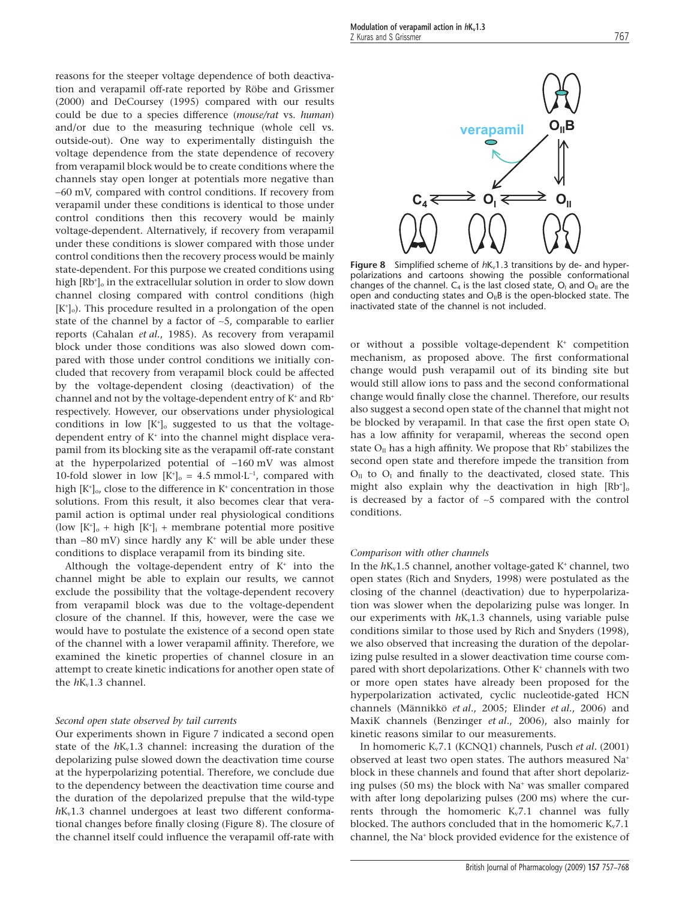reasons for the steeper voltage dependence of both deactivation and verapamil off-rate reported by Röbe and Grissmer (2000) and DeCoursey (1995) compared with our results could be due to a species difference (*mouse/rat* vs. *human*) and/or due to the measuring technique (whole cell vs. outside-out). One way to experimentally distinguish the voltage dependence from the state dependence of recovery from verapamil block would be to create conditions where the channels stay open longer at potentials more negative than -60 mV, compared with control conditions. If recovery from verapamil under these conditions is identical to those under control conditions then this recovery would be mainly voltage-dependent. Alternatively, if recovery from verapamil under these conditions is slower compared with those under control conditions then the recovery process would be mainly state-dependent. For this purpose we created conditions using high [Rb<sup>+</sup>]<sub>o</sub> in the extracellular solution in order to slow down channel closing compared with control conditions (high  $[K^{\dagger}]_0$ ). This procedure resulted in a prolongation of the open state of the channel by a factor of ~5, comparable to earlier reports (Cahalan *et al.*, 1985). As recovery from verapamil block under those conditions was also slowed down compared with those under control conditions we initially concluded that recovery from verapamil block could be affected by the voltage-dependent closing (deactivation) of the channel and not by the voltage-dependent entry of  $K^+$  and  $Rb^+$ respectively. However, our observations under physiological conditions in low  $[K^{\dagger}]_{\text{o}}$  suggested to us that the voltagedependent entry of K<sup>+</sup> into the channel might displace verapamil from its blocking site as the verapamil off-rate constant at the hyperpolarized potential of  $-160$  mV was almost 10-fold slower in low  $[K^{\dagger}]_0 = 4.5$  mmol $L^{-1}$ , compared with high [K<sup>+</sup>]<sub>o</sub>, close to the difference in K<sup>+</sup> concentration in those solutions. From this result, it also becomes clear that verapamil action is optimal under real physiological conditions (low  $[K^+]_0$  + high  $[K^+]_i$  + membrane potential more positive than  $-80$  mV) since hardly any  $K^+$  will be able under these conditions to displace verapamil from its binding site.

Although the voltage-dependent entry of  $K^+$  into the channel might be able to explain our results, we cannot exclude the possibility that the voltage-dependent recovery from verapamil block was due to the voltage-dependent closure of the channel. If this, however, were the case we would have to postulate the existence of a second open state of the channel with a lower verapamil affinity. Therefore, we examined the kinetic properties of channel closure in an attempt to create kinetic indications for another open state of the  $h$ K<sub>v</sub>1.3 channel.

#### *Second open state observed by tail currents*

Our experiments shown in Figure 7 indicated a second open state of the  $hK_v1.3$  channel: increasing the duration of the depolarizing pulse slowed down the deactivation time course at the hyperpolarizing potential. Therefore, we conclude due to the dependency between the deactivation time course and the duration of the depolarized prepulse that the wild-type  $h$ K<sub>v</sub>1.3 channel undergoes at least two different conformational changes before finally closing (Figure 8). The closure of the channel itself could influence the verapamil off-rate with



Figure 8 Simplified scheme of  $hK_v1.3$  transitions by de- and hyperpolarizations and cartoons showing the possible conformational changes of the channel.  $C_4$  is the last closed state,  $O_1$  and  $O_{II}$  are the open and conducting states and  $O_{\parallel}B$  is the open-blocked state. The inactivated state of the channel is not included.

or without a possible voltage-dependent K<sup>+</sup> competition mechanism, as proposed above. The first conformational change would push verapamil out of its binding site but would still allow ions to pass and the second conformational change would finally close the channel. Therefore, our results also suggest a second open state of the channel that might not be blocked by verapamil. In that case the first open state  $O<sub>I</sub>$ has a low affinity for verapamil, whereas the second open state  $O<sub>II</sub>$  has a high affinity. We propose that Rb<sup>+</sup> stabilizes the second open state and therefore impede the transition from  $O_{II}$  to  $O_{I}$  and finally to the deactivated, closed state. This might also explain why the deactivation in high  $[Rb<sup>+</sup>]_{c}$ is decreased by a factor of  $\sim$ 5 compared with the control conditions.

#### *Comparison with other channels*

In the  $hK_v1.5$  channel, another voltage-gated K<sup>+</sup> channel, two open states (Rich and Snyders, 1998) were postulated as the closing of the channel (deactivation) due to hyperpolarization was slower when the depolarizing pulse was longer. In our experiments with  $hK_v1.3$  channels, using variable pulse conditions similar to those used by Rich and Snyders (1998), we also observed that increasing the duration of the depolarizing pulse resulted in a slower deactivation time course compared with short depolarizations. Other K<sup>+</sup> channels with two or more open states have already been proposed for the hyperpolarization activated, cyclic nucleotide-gated HCN channels (Männikkö *et al.*, 2005; Elinder *et al.*, 2006) and MaxiK channels (Benzinger *et al.*, 2006), also mainly for kinetic reasons similar to our measurements.

In homomeric Kv7.1 (KCNQ1) channels, Pusch *et al.* (2001) observed at least two open states. The authors measured Na<sup>+</sup> block in these channels and found that after short depolarizing pulses  $(50 \text{ ms})$  the block with Na<sup>+</sup> was smaller compared with after long depolarizing pulses (200 ms) where the currents through the homomeric  $K_v 7.1$  channel was fully blocked. The authors concluded that in the homomeric  $K_v 7.1$ channel, the Na<sup>+</sup> block provided evidence for the existence of